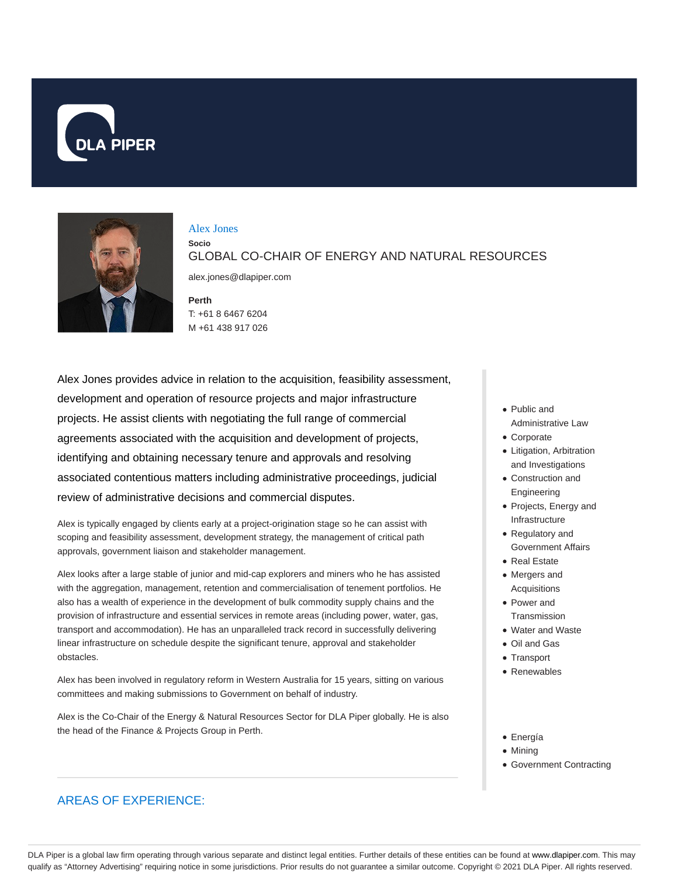



#### Alex Jones

**Socio** GLOBAL CO-CHAIR OF ENERGY AND NATURAL RESOURCES alex.jones@dlapiper.com

**Perth** T: +61 8 6467 6204 M +61 438 917 026

Alex Jones provides advice in relation to the acquisition, feasibility assessment, development and operation of resource projects and major infrastructure projects. He assist clients with negotiating the full range of commercial agreements associated with the acquisition and development of projects, identifying and obtaining necessary tenure and approvals and resolving associated contentious matters including administrative proceedings, judicial review of administrative decisions and commercial disputes.

Alex is typically engaged by clients early at a project-origination stage so he can assist with scoping and feasibility assessment, development strategy, the management of critical path approvals, government liaison and stakeholder management.

Alex looks after a large stable of junior and mid-cap explorers and miners who he has assisted with the aggregation, management, retention and commercialisation of tenement portfolios. He also has a wealth of experience in the development of bulk commodity supply chains and the provision of infrastructure and essential services in remote areas (including power, water, gas, transport and accommodation). He has an unparalleled track record in successfully delivering linear infrastructure on schedule despite the significant tenure, approval and stakeholder obstacles.

Alex has been involved in regulatory reform in Western Australia for 15 years, sitting on various committees and making submissions to Government on behalf of industry.

Alex is the Co-Chair of the Energy & Natural Resources Sector for DLA Piper globally. He is also the head of the Finance & Projects Group in Perth.

- Public and Administrative Law
- Corporate
- Litigation, Arbitration and Investigations
- Construction and Engineering
- Projects, Energy and Infrastructure
- Regulatory and Government Affairs
- Real Estate
- Mergers and Acquisitions
- Power and **Transmission**
- Water and Waste
- Oil and Gas
- Transport
- 
- Renewables
- Energía
- Mining
- Government Contracting

# AREAS OF EXPERIENCE:

DLA Piper is a global law firm operating through various separate and distinct legal entities. Further details of these entities can be found at www.dlapiper.com. This may qualify as "Attorney Advertising" requiring notice in some jurisdictions. Prior results do not guarantee a similar outcome. Copyright © 2021 DLA Piper. All rights reserved.